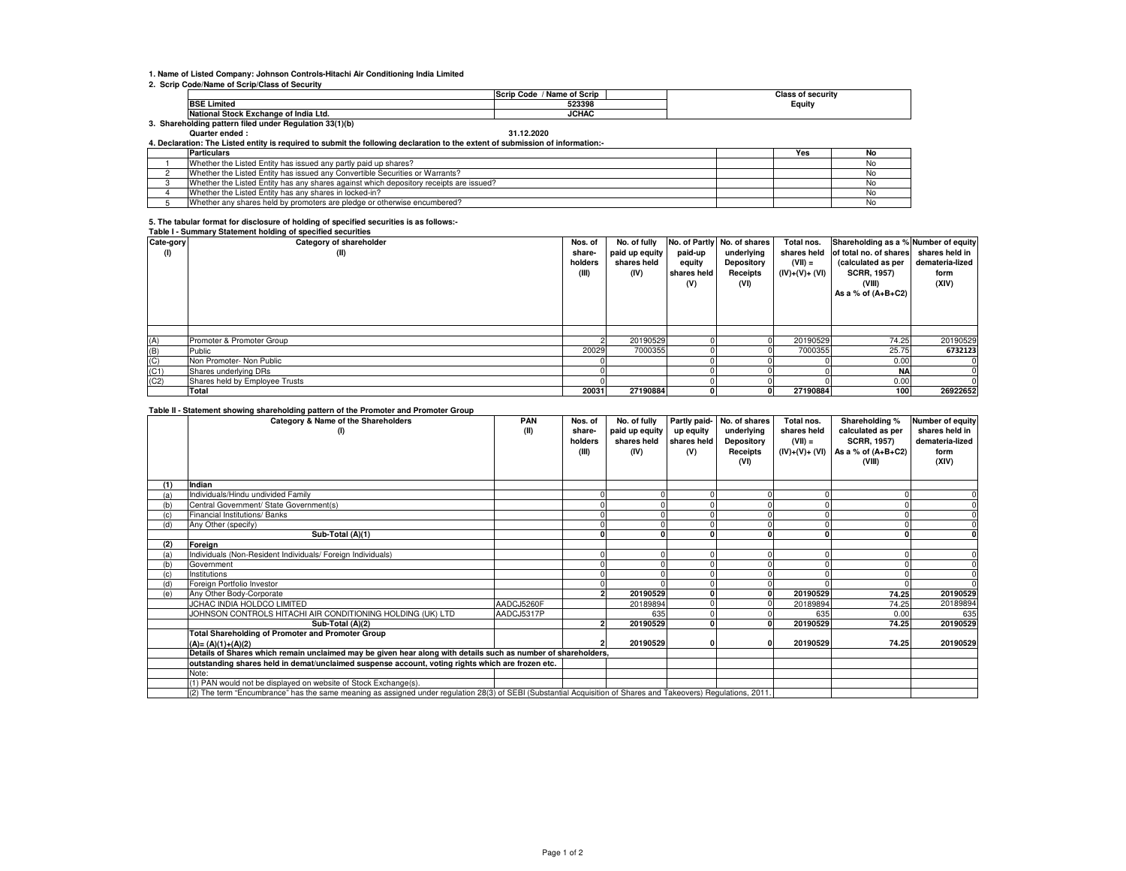### **1. Name of Listed Company: Johnson Controls-Hitachi Air Conditioning India Limited**

#### **2. Scrip Code/Name of Scrip/Class of Security**

|                                                      | ' Name of Scrip<br><b>Scrip</b><br>Code | Class<br>of security ہ |  |  |  |  |  |  |  |  |
|------------------------------------------------------|-----------------------------------------|------------------------|--|--|--|--|--|--|--|--|
| <b>BSE Limited</b>                                   | 523398                                  | Equity                 |  |  |  |  |  |  |  |  |
| ll Stock Exchange of India Ltd.<br><b>National</b>   | <b>JCHAC</b>                            |                        |  |  |  |  |  |  |  |  |
| Shareholding pattern filed under Regulation 33(1)(b) |                                         |                        |  |  |  |  |  |  |  |  |

**Quarter ended : 31.12.2020**

**4. Declaration: The Listed entity is required to submit the following declaration to the extent of submission of information:-**

| <b>Particulars</b>                                                                     | Yes | No   |
|----------------------------------------------------------------------------------------|-----|------|
| Whether the Listed Entity has issued any partly paid up shares?                        |     | INO. |
| Whether the Listed Entity has issued any Convertible Securities or Warrants?           |     | טעו  |
| Whether the Listed Entity has any shares against which depository receipts are issued? |     | NΩ   |
| Whether the Listed Entity has any shares in locked-in?                                 |     |      |
| Whether any shares held by promoters are pledge or otherwise encumbered?               |     | IΝO  |

# **5. The tabular format for disclosure of holding of specified securities is as follows:- Table I - Summary Statement holding of specified securities**

|                    | rable r - Summary Statement Holding or specified securities |         |                |             |                             |                |                                      |                 |
|--------------------|-------------------------------------------------------------|---------|----------------|-------------|-----------------------------|----------------|--------------------------------------|-----------------|
| Cate-gory          | Category of shareholder                                     | Nos. of | No. of fully   |             | No. of Partly No. of shares | Total nos.     | Shareholding as a % Number of equity |                 |
| (1)                | (II)                                                        | share-  | paid up equity | paid-up     | underlying                  | shares held    | of total no. of shares               | shares held in  |
|                    |                                                             | holders | shares held    | equity      | Depository                  | $(VII) =$      | (calculated as per                   | demateria-lized |
|                    |                                                             | (III)   | (IV)           | shares held | Receipts                    | (IV)+(V)+ (VI) | <b>SCRR, 1957)</b>                   | form            |
|                    |                                                             |         |                | (V)         | (VI)                        |                | (VIII)                               | (XIV)           |
|                    |                                                             |         |                |             |                             |                | As a % of $(A+B+C2)$                 |                 |
|                    |                                                             |         |                |             |                             |                |                                      |                 |
|                    |                                                             |         |                |             |                             |                |                                      |                 |
|                    |                                                             |         |                |             |                             |                |                                      |                 |
|                    |                                                             |         |                |             |                             |                |                                      |                 |
| (A)                | Promoter & Promoter Group                                   |         | 20190529       |             |                             | 20190529       | 74.25                                | 20190529        |
| (B)                | Public                                                      | 20029   | 7000355        |             |                             | 7000355        | 25.75                                | 6732123         |
|                    | Non Promoter- Non Public                                    |         |                |             |                             |                | 0.00                                 | ΩI              |
| $\frac{(C)}{(C1)}$ | Shares underlying DRs                                       |         |                |             |                             |                | <b>NA</b>                            |                 |
| (C2)               | Shares held by Employee Trusts                              |         |                |             |                             |                | 0.00                                 |                 |
|                    | Total                                                       | 20031   | 27190884       |             | ΟI                          | 27190884       | 100 <sub>1</sub>                     | 26922652        |

#### **Table II - Statement showing shareholding pattern of the Promoter and Promoter Group**

|     | rapic in cautement showing shareholding pattern or the rifolioter and rifolioter choup<br>Category & Name of the Shareholders                                   | <b>PAN</b> | Nos. of | No. of fully   |             | Partly paid- No. of shares | Total nos.     | Shareholding %       | Number of equity |
|-----|-----------------------------------------------------------------------------------------------------------------------------------------------------------------|------------|---------|----------------|-------------|----------------------------|----------------|----------------------|------------------|
|     | (1)                                                                                                                                                             | (II)       | share-  | paid up equity | up equity   | underlying                 | shares held    | calculated as per    | shares held in   |
|     |                                                                                                                                                                 |            | holders | shares held    | shares held | Depository                 | $(VII) =$      | <b>SCRR, 1957)</b>   | demateria-lized  |
|     |                                                                                                                                                                 |            | (III)   | (IV)           | (V)         | Receipts                   | (IV)+(V)+ (VI) | As a % of $(A+B+C2)$ | form             |
|     |                                                                                                                                                                 |            |         |                |             | (VI)                       |                | (VIII)               | (XIV)            |
|     |                                                                                                                                                                 |            |         |                |             |                            |                |                      |                  |
| (1) | Indian                                                                                                                                                          |            |         |                |             |                            |                |                      |                  |
| (a) | Individuals/Hindu undivided Family                                                                                                                              |            |         |                |             |                            |                |                      |                  |
| (b) | Central Government/ State Government(s)                                                                                                                         |            |         |                |             |                            |                |                      |                  |
|     | Financial Institutions/ Banks                                                                                                                                   |            |         |                |             |                            |                |                      |                  |
| (d) | Any Other (specify)                                                                                                                                             |            |         |                |             |                            |                |                      |                  |
|     | Sub-Total (A)(1)                                                                                                                                                |            |         |                |             |                            |                |                      |                  |
| (2) | Foreian                                                                                                                                                         |            |         |                |             |                            |                |                      |                  |
| (a) | Individuals (Non-Resident Individuals/ Foreign Individuals)                                                                                                     |            |         |                |             |                            |                |                      |                  |
| (b) | Government                                                                                                                                                      |            |         |                |             |                            |                |                      |                  |
| (c) | Institutions                                                                                                                                                    |            |         |                |             |                            |                |                      |                  |
| (d) | Foreign Portfolio Investor                                                                                                                                      |            |         |                |             |                            |                |                      |                  |
| (e) | Any Other Body-Corporate                                                                                                                                        |            |         | 20190529       |             |                            | 20190529       | 74.25                | 20190529         |
|     | JCHAC INDIA HOLDCO LIMITED                                                                                                                                      | AADCJ5260F |         | 20189894       |             |                            | 20189894       | 74.25                | 20189894         |
|     | JOHNSON CONTROLS HITACHI AIR CONDITIONING HOLDING (UK) LTD                                                                                                      | AADCJ5317P |         | 635            |             |                            | 635            | 0.00                 | 635              |
|     | Sub-Total (A)(2)                                                                                                                                                |            |         | 20190529       |             |                            | 20190529       | 74.25                | 20190529         |
|     | <b>Total Shareholding of Promoter and Promoter Group</b>                                                                                                        |            |         |                |             |                            |                |                      |                  |
|     | $(A) = (A)(1)+(A)(2)$                                                                                                                                           |            |         | 20190529       |             |                            | 20190529       | 74.25                | 20190529         |
|     | Details of Shares which remain unclaimed may be given hear along with details such as number of shareholders,                                                   |            |         |                |             |                            |                |                      |                  |
|     | outstanding shares held in demat/unclaimed suspense account, voting rights which are frozen etc.                                                                |            |         |                |             |                            |                |                      |                  |
|     | Note:                                                                                                                                                           |            |         |                |             |                            |                |                      |                  |
|     | (1) PAN would not be displayed on website of Stock Exchange(s).                                                                                                 |            |         |                |             |                            |                |                      |                  |
|     | (2) The term "Encumbrance" has the same meaning as assigned under regulation 28(3) of SEBI (Substantial Acquisition of Shares and Takeovers) Regulations, 2011. |            |         |                |             |                            |                |                      |                  |